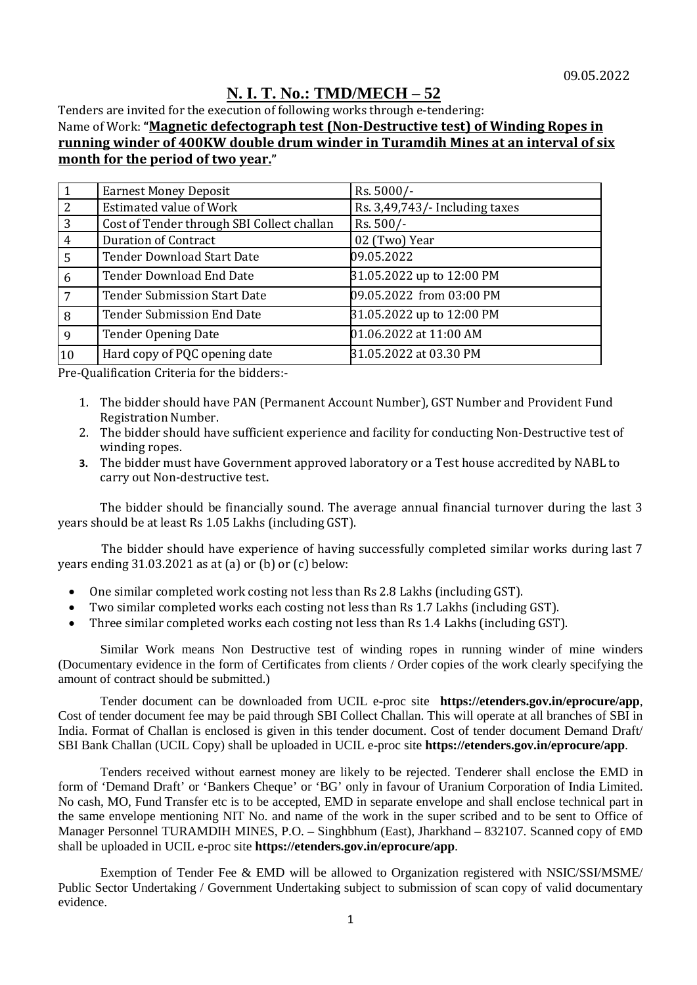## 09.05.2022 **N. I. T. No.: TMD/MECH – 52**

Tenders are invited for the execution of following works through e-tendering: Name of Work: **"Magnetic defectograph test (Non-Destructive test) of Winding Ropes in running winder of 400KW double drum winder in Turamdih Mines at an interval of six month for the period of two year."**

|                | <b>Earnest Money Deposit</b>               | Rs. 5000/-                     |
|----------------|--------------------------------------------|--------------------------------|
| 2              | <b>Estimated value of Work</b>             | Rs. 3,49,743/- Including taxes |
| 3              | Cost of Tender through SBI Collect challan | Rs. 500/-                      |
| 4              | <b>Duration of Contract</b>                | 02 (Two) Year                  |
| 5              | <b>Tender Download Start Date</b>          | 09.05.2022                     |
| 6              | <b>Tender Download End Date</b>            | 31.05.2022 up to 12:00 PM      |
| $\overline{7}$ | <b>Tender Submission Start Date</b>        | 09.05.2022 from 03:00 PM       |
| 8              | <b>Tender Submission End Date</b>          | 31.05.2022 up to 12:00 PM      |
| 9              | <b>Tender Opening Date</b>                 | 01.06.2022 at 11:00 AM         |
| 10             | Hard copy of PQC opening date              | 31.05.2022 at 03.30 PM         |

Pre-Qualification Criteria for the bidders:-

- 1. The bidder should have PAN (Permanent Account Number), GST Number and Provident Fund Registration Number.
- 2. The bidder should have sufficient experience and facility for conducting Non-Destructive test of winding ropes.
- **3.** The bidder must have Government approved laboratory or a Test house accredited by NABL to carry out Non-destructive test**.**

The bidder should be financially sound. The average annual financial turnover during the last 3 years should be at least Rs 1.05 Lakhs (including GST).

 The bidder should have experience of having successfully completed similar works during last 7 years ending 31.03.2021 as at (a) or (b) or (c) below:

- One similar completed work costing not less than Rs 2.8 Lakhs (including GST).<br>• Two similar completed works each costing not less than Rs 1.7 Lakhs (including
- Two similar completed works each costing not less than Rs 1.7 Lakhs (including GST).<br>• Three similar completed works each costing not less than Rs 1.4 Lakhs (including GST)
- Three similar completed works each costing not less than Rs 1.4 Lakhs (including GST).

Similar Work means Non Destructive test of winding ropes in running winder of mine winders (Documentary evidence in the form of Certificates from clients / Order copies of the work clearly specifying the amount of contract should be submitted.)

Tender document can be downloaded from UCIL e-proc site **https://etenders.gov.in/eprocure/app**, Cost of tender document fee may be paid through SBI Collect Challan. This will operate at all branches of SBI in India. Format of Challan is enclosed is given in this tender document. Cost of tender document Demand Draft/ SBI Bank Challan (UCIL Copy) shall be uploaded in UCIL e-proc site **https://etenders.gov.in/eprocure/app**.

Tenders received without earnest money are likely to be rejected. Tenderer shall enclose the EMD in form of 'Demand Draft' or 'Bankers Cheque' or 'BG' only in favour of Uranium Corporation of India Limited. No cash, MO, Fund Transfer etc is to be accepted, EMD in separate envelope and shall enclose technical part in the same envelope mentioning NIT No. and name of the work in the super scribed and to be sent to Office of Manager Personnel TURAMDIH MINES, P.O. – Singhbhum (East), Jharkhand – 832107. Scanned copy of EMD shall be uploaded in UCIL e-proc site **https://etenders.gov.in/eprocure/app**.

Exemption of Tender Fee & EMD will be allowed to Organization registered with NSIC/SSI/MSME/ Public Sector Undertaking / Government Undertaking subject to submission of scan copy of valid documentary evidence.